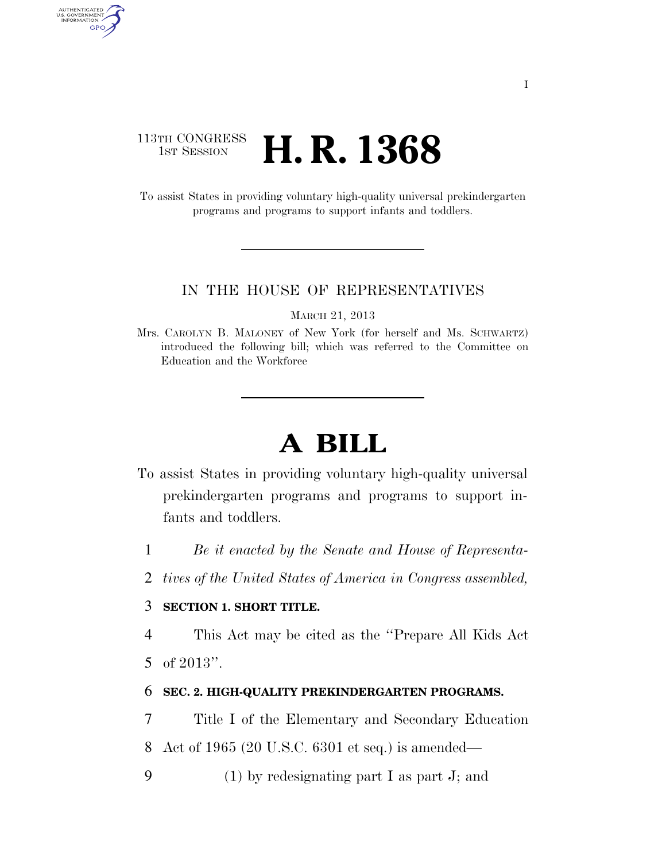# 113TH CONGRESS<br>1st Session **H. R. 1368**

To assist States in providing voluntary high-quality universal prekindergarten programs and programs to support infants and toddlers.

#### IN THE HOUSE OF REPRESENTATIVES

MARCH 21, 2013

Mrs. CAROLYN B. MALONEY of New York (for herself and Ms. SCHWARTZ) introduced the following bill; which was referred to the Committee on Education and the Workforce

# **A BILL**

- To assist States in providing voluntary high-quality universal prekindergarten programs and programs to support infants and toddlers.
	- 1 *Be it enacted by the Senate and House of Representa-*
	- 2 *tives of the United States of America in Congress assembled,*

# 3 **SECTION 1. SHORT TITLE.**

4 This Act may be cited as the ''Prepare All Kids Act

5 of 2013''.

AUTHENTICATED<br>U.S. GOVERNMENT<br>INFORMATION GPO

#### 6 **SEC. 2. HIGH-QUALITY PREKINDERGARTEN PROGRAMS.**

7 Title I of the Elementary and Secondary Education

8 Act of 1965 (20 U.S.C. 6301 et seq.) is amended—

9 (1) by redesignating part I as part J; and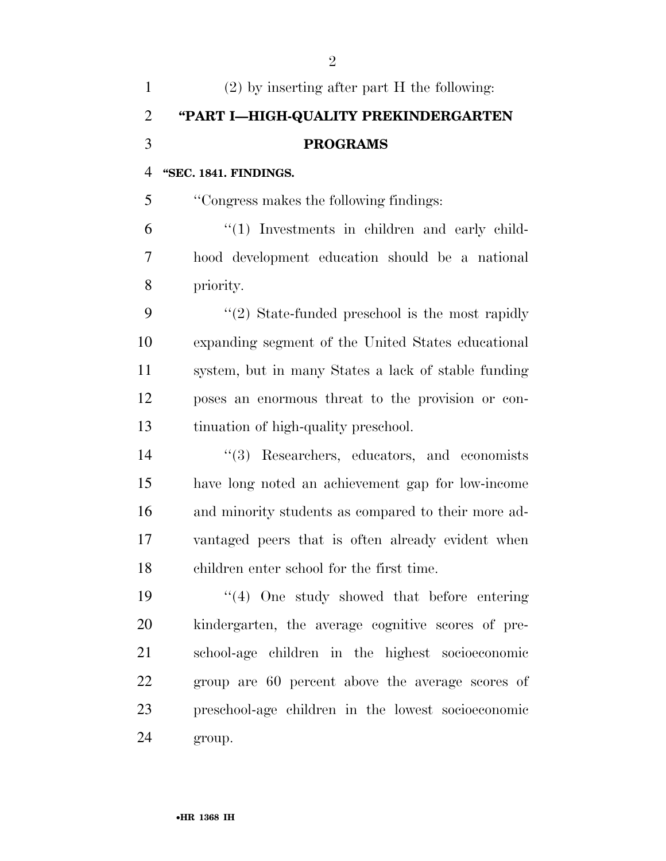| $\mathbf{1}$   | $(2)$ by inserting after part H the following:      |
|----------------|-----------------------------------------------------|
| $\overline{2}$ | "PART I-HIGH-QUALITY PREKINDERGARTEN                |
| 3              | <b>PROGRAMS</b>                                     |
| $\overline{4}$ | "SEC. 1841. FINDINGS.                               |
| 5              | "Congress makes the following findings:             |
| 6              | "(1) Investments in children and early child-       |
| 7              | hood development education should be a national     |
| 8              | priority.                                           |
| 9              | $\lq(2)$ State-funded preschool is the most rapidly |
| 10             | expanding segment of the United States educational  |
| 11             | system, but in many States a lack of stable funding |
| 12             | poses an enormous threat to the provision or con-   |
| 13             | tinuation of high-quality preschool.                |
| 14             | "(3) Researchers, educators, and economists         |
| 15             | have long noted an achievement gap for low-income   |
| 16             | and minority students as compared to their more ad- |
| 17             | vantaged peers that is often already evident when   |
| 18             | children enter school for the first time.           |
| 19             | $(4)$ One study showed that before entering         |
| 20             | kindergarten, the average cognitive scores of pre-  |
| 21             | school-age children in the highest socioeconomic    |
| 22             | group are 60 percent above the average scores of    |
| 23             | preschool-age children in the lowest socioeconomic  |
| 24             | group.                                              |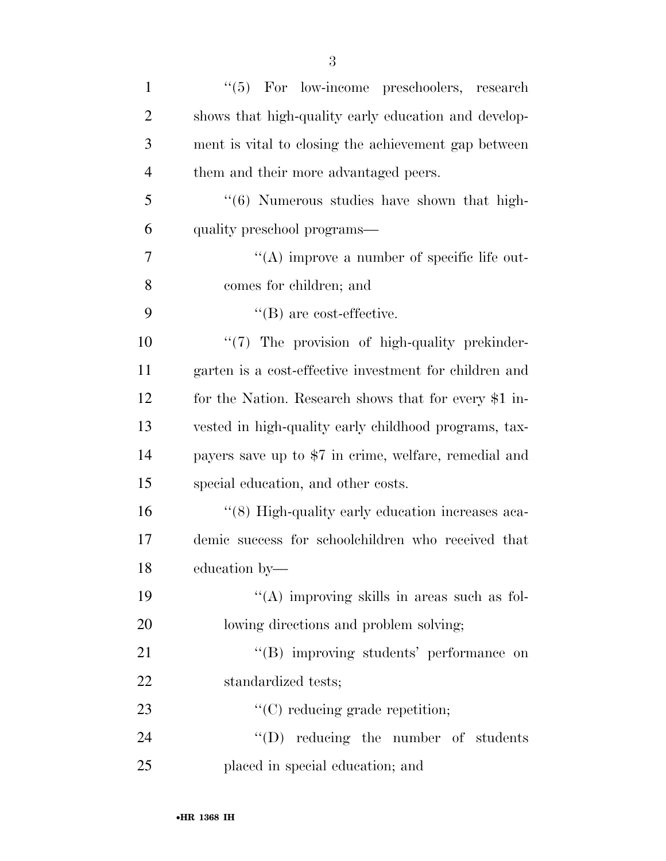| $\mathbf{1}$   | $\lq(5)$ For low-income preschoolers, research         |
|----------------|--------------------------------------------------------|
| $\overline{2}$ | shows that high-quality early education and develop-   |
| 3              | ment is vital to closing the achievement gap between   |
| $\overline{4}$ | them and their more advantaged peers.                  |
| 5              | "(6) Numerous studies have shown that high-            |
| 6              | quality preschool programs—                            |
| 7              | $\lq\lq$ improve a number of specific life out-        |
| 8              | comes for children; and                                |
| 9              | $\lq\lq$ (B) are cost-effective.                       |
| 10             | "(7) The provision of high-quality prekinder-          |
| 11             | garten is a cost-effective investment for children and |
| 12             | for the Nation. Research shows that for every \$1 in-  |
| 13             | vested in high-quality early childhood programs, tax-  |
| 14             | payers save up to \$7 in crime, welfare, remedial and  |
| 15             | special education, and other costs.                    |
| 16             | "(8) High-quality early education increases aca-       |
| 17             | demic success for schoolchildren who received that     |
| 18             | education by-                                          |
| 19             | "(A) improving skills in areas such as fol-            |
| 20             | lowing directions and problem solving;                 |
| 21             | "(B) improving students' performance on                |
| 22             | standardized tests;                                    |
| 23             | $\lq\lq$ reducing grade repetition;                    |
| 24             | $\lq\lq$ reducing the number of students               |
| 25             | placed in special education; and                       |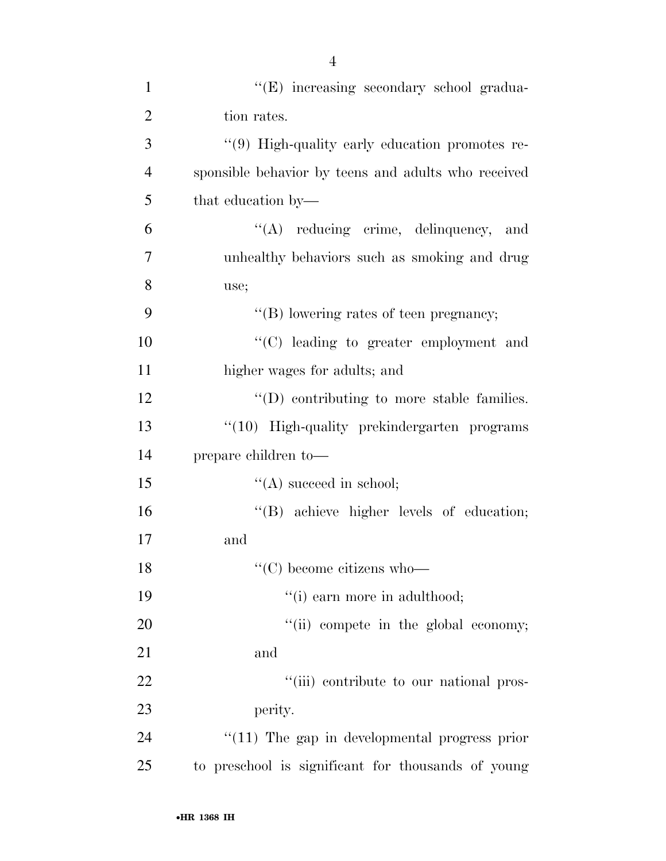| $\mathbf{1}$   | "(E) increasing secondary school gradua-            |
|----------------|-----------------------------------------------------|
| $\overline{2}$ | tion rates.                                         |
| 3              | "(9) High-quality early education promotes re-      |
| $\overline{4}$ | sponsible behavior by teens and adults who received |
| 5              | that education by—                                  |
| 6              | "(A) reducing crime, delinquency, and               |
| $\overline{7}$ | unhealthy behaviors such as smoking and drug        |
| 8              | use;                                                |
| 9              | "(B) lowering rates of teen pregnancy;              |
| 10             | "(C) leading to greater employment and              |
| 11             | higher wages for adults; and                        |
| 12             | $\lq\lq$ (D) contributing to more stable families.  |
| 13             | "(10) High-quality prekindergarten programs         |
| 14             | prepare children to-                                |
| 15             | $\lq\lq$ succeed in school;                         |
| 16             | "(B) achieve higher levels of education;            |
| 17             | and                                                 |
| 18             | $\lq\lq$ (C) become citizens who-                   |
| 19             | "(i) earn more in adulthood;                        |
| 20             | "(ii) compete in the global economy;                |
| 21             | and                                                 |
| 22             | "(iii) contribute to our national pros-             |
| 23             | perity.                                             |
| 24             | $\lq(11)$ The gap in developmental progress prior   |
| 25             | to preschool is significant for thousands of young  |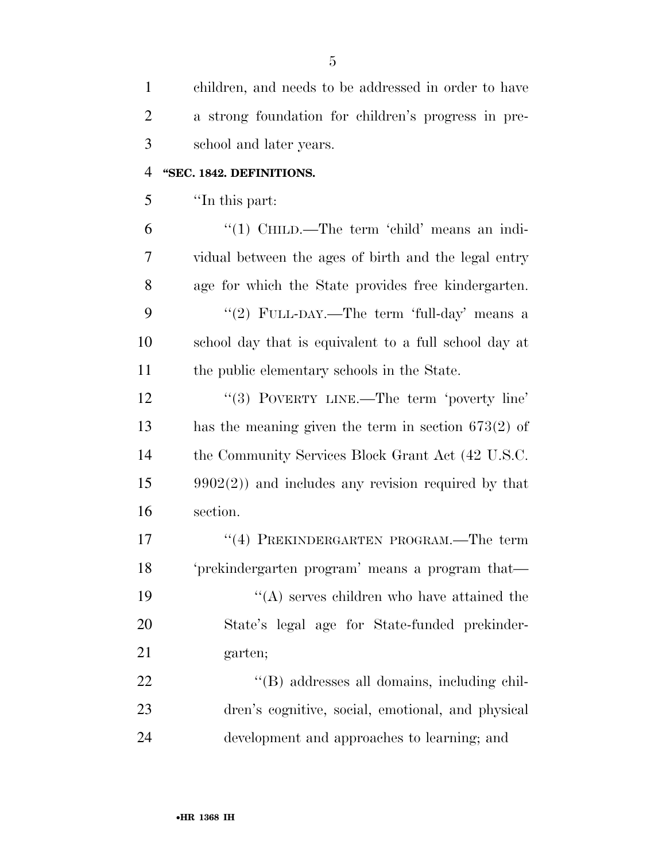| $\mathbf{1}$   | children, and needs to be addressed in order to have   |
|----------------|--------------------------------------------------------|
| $\overline{2}$ | a strong foundation for children's progress in pre-    |
| 3              | school and later years.                                |
| $\overline{4}$ | "SEC. 1842. DEFINITIONS.                               |
| 5              | "In this part:                                         |
| 6              | "(1) CHILD.—The term 'child' means an indi-            |
| 7              | vidual between the ages of birth and the legal entry   |
| 8              | age for which the State provides free kindergarten.    |
| 9              | "(2) FULL-DAY.—The term 'full-day' means a             |
| 10             | school day that is equivalent to a full school day at  |
| 11             | the public elementary schools in the State.            |
| 12             | "(3) POVERTY LINE.—The term 'poverty line'             |
| 13             | has the meaning given the term in section $673(2)$ of  |
| 14             | the Community Services Block Grant Act (42 U.S.C.      |
| 15             | $9902(2)$ ) and includes any revision required by that |
| 16             | section.                                               |
| 17             | "(4) PREKINDERGARTEN PROGRAM.—The term                 |
| 18             | 'prekindergarten program' means a program that—        |
| 19             | $\lq\lq$ serves children who have attained the         |
| 20             | State's legal age for State-funded prekinder-          |
| 21             | garten;                                                |
| 22             | "(B) addresses all domains, including chil-            |
| 23             | dren's cognitive, social, emotional, and physical      |
| 24             | development and approaches to learning; and            |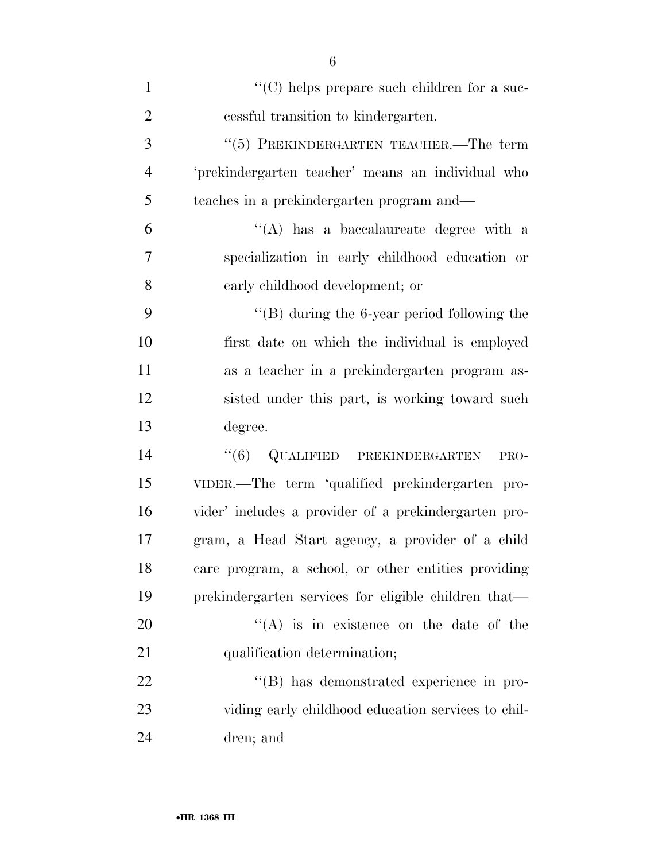| $\mathbf{1}$   | "(C) helps prepare such children for a suc-          |
|----------------|------------------------------------------------------|
| $\overline{2}$ | cessful transition to kindergarten.                  |
| 3              | "(5) PREKINDERGARTEN TEACHER.—The term               |
| $\overline{4}$ | 'prekindergarten teacher' means an individual who    |
| 5              | teaches in a prekindergarten program and—            |
| 6              | $\lq\lq$ has a baccalaureate degree with a           |
| 7              | specialization in early childhood education or       |
| 8              | early childhood development; or                      |
| 9              | $\lq\lq (B)$ during the 6-year period following the  |
| 10             | first date on which the individual is employed       |
| 11             | as a teacher in a prekindergarten program as-        |
| 12             | sisted under this part, is working toward such       |
| 13             | degree.                                              |
| 14             | ``(6)<br>QUALIFIED PREKINDERGARTEN<br>PRO-           |
| 15             | VIDER.—The term 'qualified prekindergarten pro-      |
| 16             | vider' includes a provider of a prekindergarten pro- |
| 17             | gram, a Head Start agency, a provider of a child     |
| 18             | care program, a school, or other entities providing  |
| 19             | prekindergarten services for eligible children that— |
| 20             | $\lq\lq$ is in existence on the date of the          |
| 21             | qualification determination;                         |
| 22             | "(B) has demonstrated experience in pro-             |
| 23             | viding early childhood education services to chil-   |
| 24             | dren; and                                            |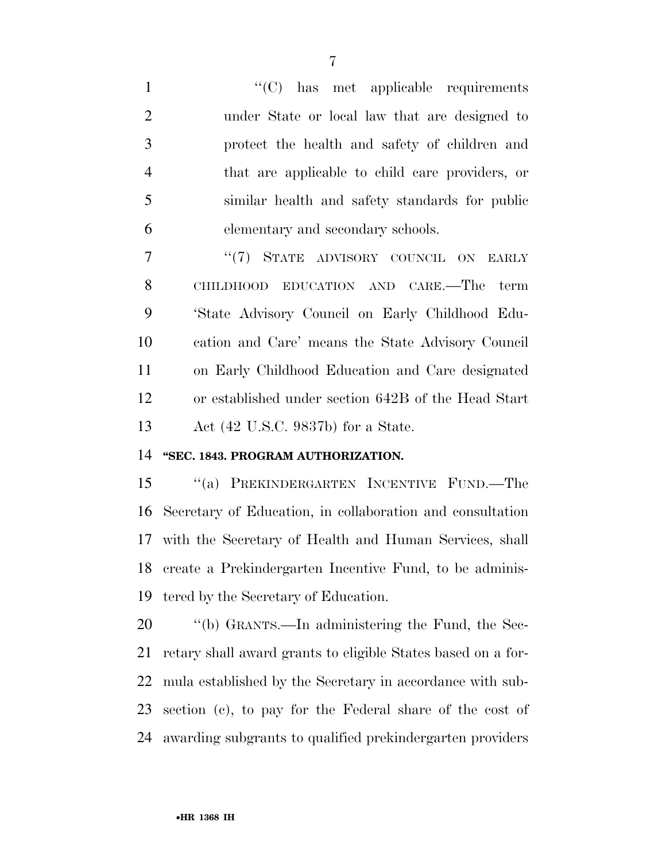''(C) has met applicable requirements under State or local law that are designed to protect the health and safety of children and that are applicable to child care providers, or similar health and safety standards for public elementary and secondary schools.

7 "'(7) STATE ADVISORY COUNCIL ON EARLY CHILDHOOD EDUCATION AND CARE.—The term 'State Advisory Council on Early Childhood Edu- cation and Care' means the State Advisory Council on Early Childhood Education and Care designated or established under section 642B of the Head Start Act (42 U.S.C. 9837b) for a State.

# **''SEC. 1843. PROGRAM AUTHORIZATION.**

 ''(a) PREKINDERGARTEN INCENTIVE FUND.—The Secretary of Education, in collaboration and consultation with the Secretary of Health and Human Services, shall create a Prekindergarten Incentive Fund, to be adminis-tered by the Secretary of Education.

 ''(b) GRANTS.—In administering the Fund, the Sec- retary shall award grants to eligible States based on a for- mula established by the Secretary in accordance with sub- section (c), to pay for the Federal share of the cost of awarding subgrants to qualified prekindergarten providers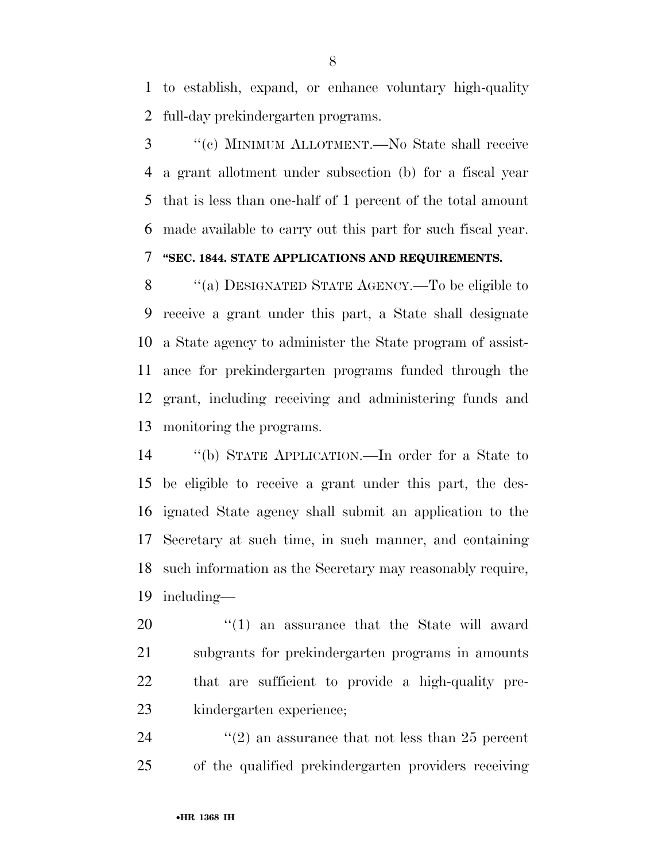to establish, expand, or enhance voluntary high-quality full-day prekindergarten programs.

 ''(c) MINIMUM ALLOTMENT.—No State shall receive a grant allotment under subsection (b) for a fiscal year that is less than one-half of 1 percent of the total amount made available to carry out this part for such fiscal year.

# **''SEC. 1844. STATE APPLICATIONS AND REQUIREMENTS.**

 ''(a) DESIGNATED STATE AGENCY.—To be eligible to receive a grant under this part, a State shall designate a State agency to administer the State program of assist- ance for prekindergarten programs funded through the grant, including receiving and administering funds and monitoring the programs.

 ''(b) STATE APPLICATION.—In order for a State to be eligible to receive a grant under this part, the des- ignated State agency shall submit an application to the Secretary at such time, in such manner, and containing such information as the Secretary may reasonably require, including—

 $\frac{1}{20}$  (1) an assurance that the State will award subgrants for prekindergarten programs in amounts that are sufficient to provide a high-quality pre-kindergarten experience;

24 ''(2) an assurance that not less than 25 percent of the qualified prekindergarten providers receiving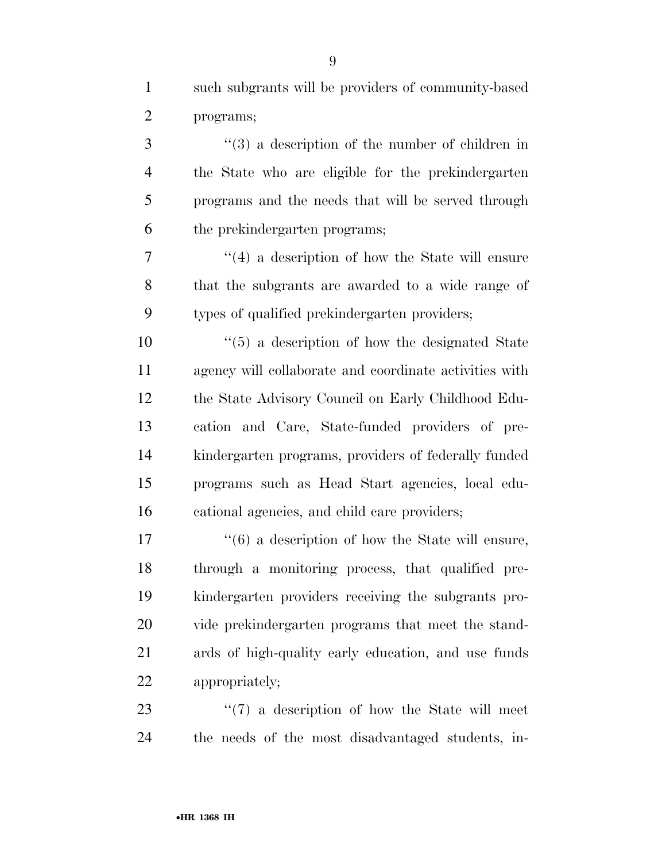such subgrants will be providers of community-based

| $\overline{2}$ | programs;                                              |
|----------------|--------------------------------------------------------|
| 3              | $(3)$ a description of the number of children in       |
| $\overline{4}$ | the State who are eligible for the prekindergarten     |
| 5              | programs and the needs that will be served through     |
| 6              | the prekindergarten programs;                          |
| 7              | $\lq(4)$ a description of how the State will ensure    |
| 8              | that the subgrants are awarded to a wide range of      |
| 9              | types of qualified prekindergarten providers;          |
| 10             | $\lq(5)$ a description of how the designated State     |
| 11             | agency will collaborate and coordinate activities with |
| 12             | the State Advisory Council on Early Childhood Edu-     |
| 13             | cation and Care, State-funded providers of pre-        |
| 14             | kindergarten programs, providers of federally funded   |
| 15             | programs such as Head Start agencies, local edu-       |
| 16             | cational agencies, and child care providers;           |
| 17             | $``(6)$ a description of how the State will ensure,    |
| 18             | through a monitoring process, that qualified pre-      |
| 19             | kindergarten providers receiving the subgrants pro-    |
| 20             | vide prekindergarten programs that meet the stand-     |
| 21             | ards of high-quality early education, and use funds    |

appropriately;

23 ''(7) a description of how the State will meet the needs of the most disadvantaged students, in-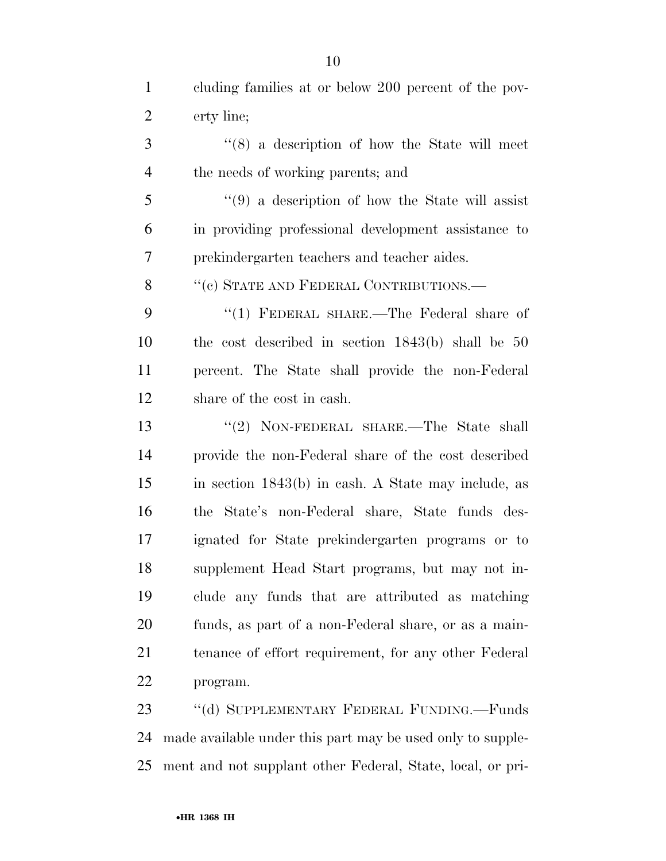| $\mathbf{1}$   | cluding families at or below 200 percent of the pov- |
|----------------|------------------------------------------------------|
| $\overline{2}$ | erty line;                                           |
| 3              | $\cdot$ (8) a description of how the State will meet |
| $\overline{4}$ | the needs of working parents; and                    |
| 5              | $(9)$ a description of how the State will assist     |
| 6              | in providing professional development assistance to  |
| 7              | prekindergarten teachers and teacher aides.          |
| 8              | "(c) STATE AND FEDERAL CONTRIBUTIONS.—               |
| 9              | "(1) FEDERAL SHARE.—The Federal share of             |
| 10             | the cost described in section $1843(b)$ shall be 50  |
| 11             | percent. The State shall provide the non-Federal     |
| 12             | share of the cost in eash.                           |
| 13             | "(2) NON-FEDERAL SHARE.—The State shall              |
| 14             | provide the non-Federal share of the cost described  |
| 15             | in section 1843(b) in cash. A State may include, as  |
| 16             | State's non-Federal share, State funds des-<br>the   |
| 17             | ignated for State prekindergarten programs or to     |
| 18             | supplement Head Start programs, but may not in-      |
| 19             | clude any funds that are attributed as matching      |
| 20             | funds, as part of a non-Federal share, or as a main- |
| 21             | tenance of effort requirement, for any other Federal |
| 22             | program.                                             |
| 2 <sub>2</sub> | "(d) SUPPLEMENTARY FEDERAL FUNDING Funds             |

 ''(d) SUPPLEMENTARY FEDERAL FUNDING.—Funds made available under this part may be used only to supple-ment and not supplant other Federal, State, local, or pri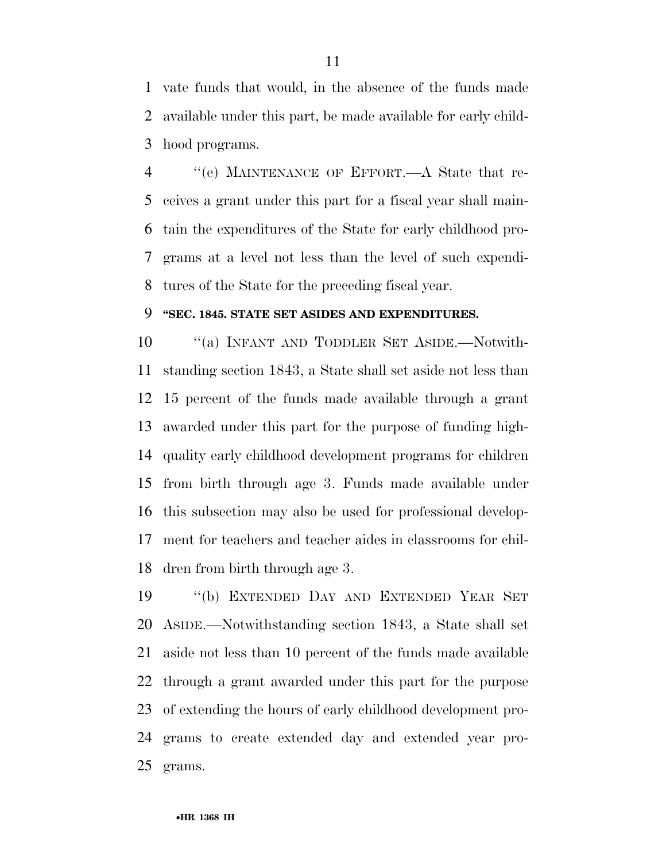vate funds that would, in the absence of the funds made available under this part, be made available for early child-hood programs.

 ''(e) MAINTENANCE OF EFFORT.—A State that re- ceives a grant under this part for a fiscal year shall main- tain the expenditures of the State for early childhood pro- grams at a level not less than the level of such expendi-tures of the State for the preceding fiscal year.

#### **''SEC. 1845. STATE SET ASIDES AND EXPENDITURES.**

10 "(a) INFANT AND TODDLER SET ASIDE.—Notwith- standing section 1843, a State shall set aside not less than 15 percent of the funds made available through a grant awarded under this part for the purpose of funding high- quality early childhood development programs for children from birth through age 3. Funds made available under this subsection may also be used for professional develop- ment for teachers and teacher aides in classrooms for chil-dren from birth through age 3.

 ''(b) EXTENDED DAY AND EXTENDED YEAR SET ASIDE.—Notwithstanding section 1843, a State shall set aside not less than 10 percent of the funds made available through a grant awarded under this part for the purpose of extending the hours of early childhood development pro- grams to create extended day and extended year pro-grams.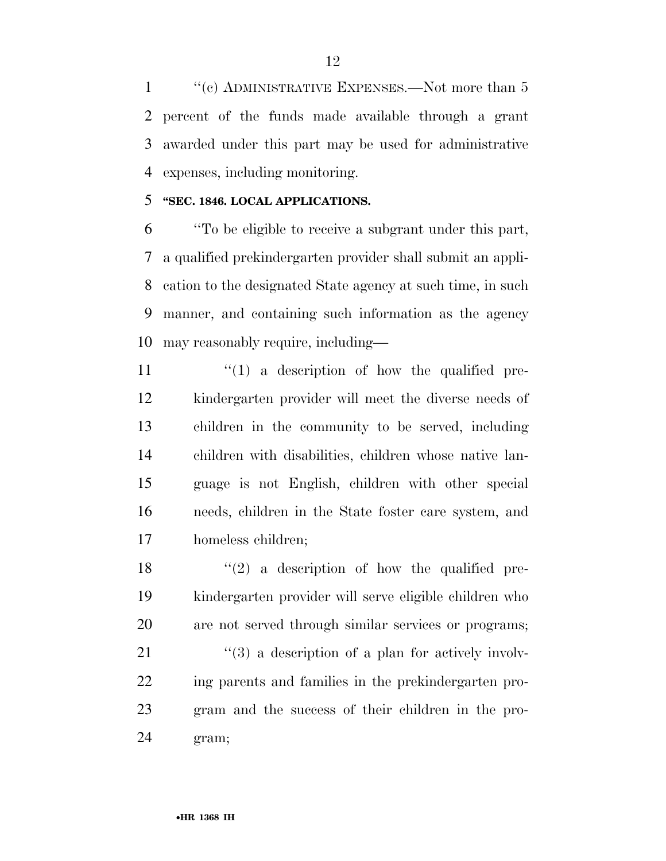''(c) ADMINISTRATIVE EXPENSES.—Not more than 5 percent of the funds made available through a grant awarded under this part may be used for administrative expenses, including monitoring.

## **''SEC. 1846. LOCAL APPLICATIONS.**

 ''To be eligible to receive a subgrant under this part, a qualified prekindergarten provider shall submit an appli- cation to the designated State agency at such time, in such manner, and containing such information as the agency may reasonably require, including—

 $\frac{1}{2}$  (1) a description of how the qualified pre- kindergarten provider will meet the diverse needs of children in the community to be served, including children with disabilities, children whose native lan- guage is not English, children with other special needs, children in the State foster care system, and homeless children;

18  $(2)$  a description of how the qualified pre- kindergarten provider will serve eligible children who are not served through similar services or programs;

 "(3) a description of a plan for actively involv- ing parents and families in the prekindergarten pro- gram and the success of their children in the pro-gram;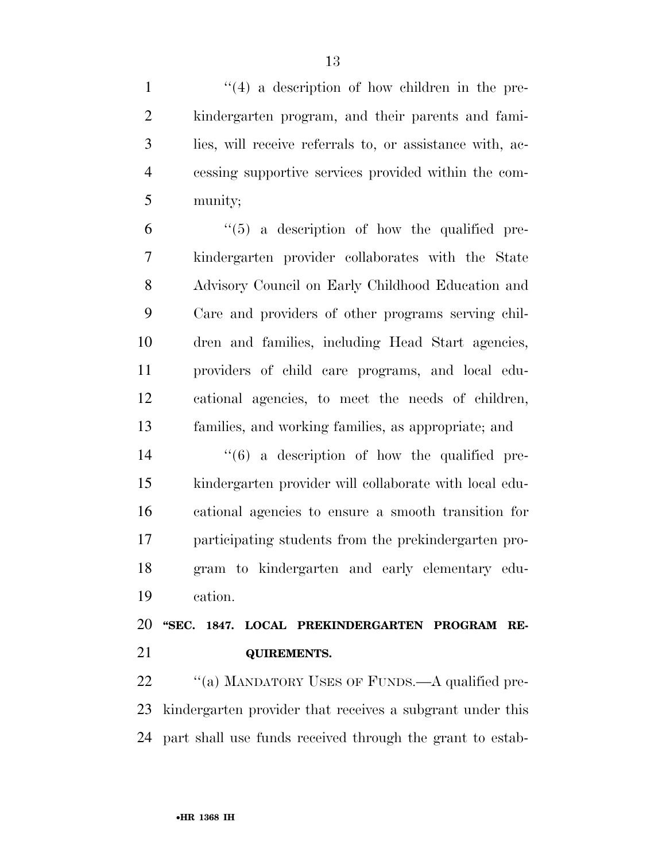1 ''(4) a description of how children in the pre- kindergarten program, and their parents and fami- lies, will receive referrals to, or assistance with, ac- cessing supportive services provided within the com-munity;

 $(6)$  <sup>"</sup>(5) a description of how the qualified pre- kindergarten provider collaborates with the State Advisory Council on Early Childhood Education and Care and providers of other programs serving chil- dren and families, including Head Start agencies, providers of child care programs, and local edu- cational agencies, to meet the needs of children, families, and working families, as appropriate; and

 ''(6) a description of how the qualified pre- kindergarten provider will collaborate with local edu- cational agencies to ensure a smooth transition for participating students from the prekindergarten pro- gram to kindergarten and early elementary edu-cation.

 **''SEC. 1847. LOCAL PREKINDERGARTEN PROGRAM RE-QUIREMENTS.** 

22 "(a) MANDATORY USES OF FUNDS.—A qualified pre- kindergarten provider that receives a subgrant under this part shall use funds received through the grant to estab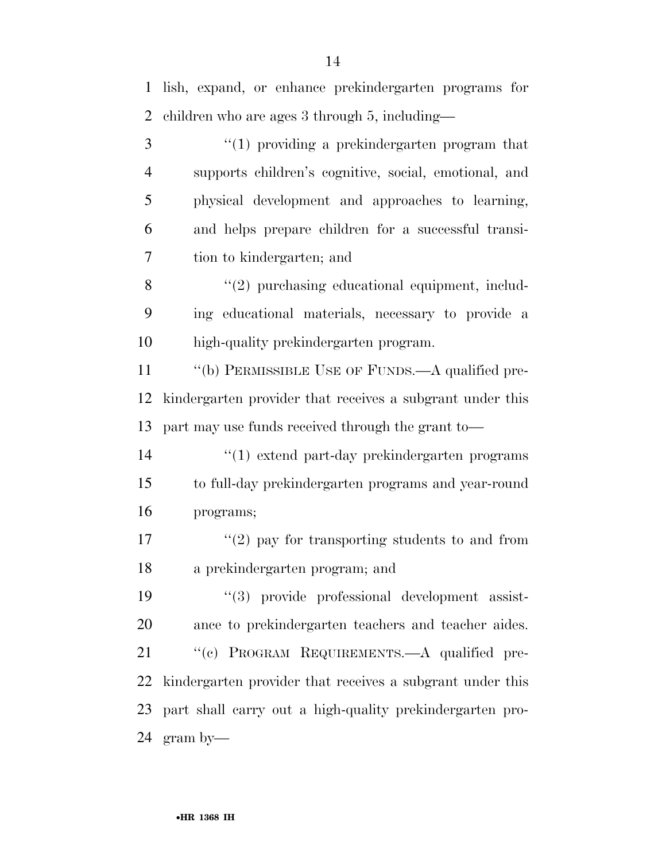lish, expand, or enhance prekindergarten programs for children who are ages 3 through 5, including—

 ''(1) providing a prekindergarten program that supports children's cognitive, social, emotional, and physical development and approaches to learning, and helps prepare children for a successful transi-tion to kindergarten; and

8 "(2) purchasing educational equipment, includ- ing educational materials, necessary to provide a high-quality prekindergarten program.

11 "(b) PERMISSIBLE USE OF FUNDS.—A qualified pre- kindergarten provider that receives a subgrant under this part may use funds received through the grant to—

 ''(1) extend part-day prekindergarten programs to full-day prekindergarten programs and year-round programs;

17  $\frac{17}{2}$  ay for transporting students to and from a prekindergarten program; and

 ''(3) provide professional development assist- ance to prekindergarten teachers and teacher aides. 21 "(c) PROGRAM REQUIREMENTS.—A qualified pre- kindergarten provider that receives a subgrant under this part shall carry out a high-quality prekindergarten pro-gram by—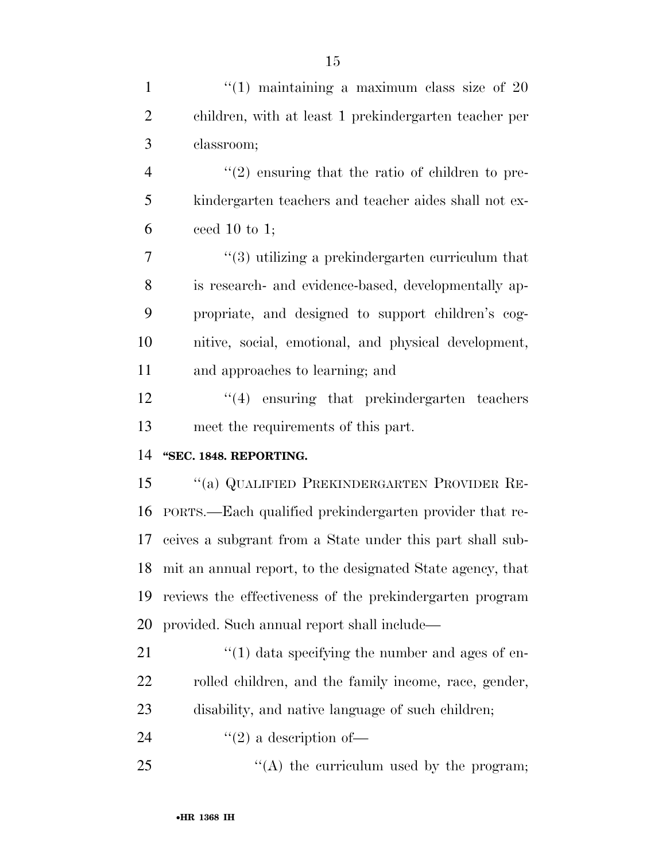| $\mathbf{1}$   | $(1)$ maintaining a maximum class size of 20                 |
|----------------|--------------------------------------------------------------|
| $\overline{2}$ | children, with at least 1 prekindergarten teacher per        |
| 3              | classroom;                                                   |
| $\overline{4}$ | $\lq(2)$ ensuring that the ratio of children to pre-         |
| 5              | kindergarten teachers and teacher aides shall not ex-        |
| 6              | ceed 10 to 1;                                                |
| 7              | $\cdot\cdot$ (3) utilizing a prekindergarten curriculum that |
| 8              | is research- and evidence-based, developmentally ap-         |
| 9              | propriate, and designed to support children's cog-           |
| 10             | nitive, social, emotional, and physical development,         |
| 11             | and approaches to learning; and                              |
| 12             | $"(4)$ ensuring that prekindergarten teachers                |
| 13             | meet the requirements of this part.                          |
| 14             | "SEC. 1848. REPORTING.                                       |
| 15             | "(a) QUALIFIED PREKINDERGARTEN PROVIDER RE-                  |
| 16             | PORTS.—Each qualified prekindergarten provider that re-      |
| 17             | ceives a subgrant from a State under this part shall sub-    |
| 18             | mit an annual report, to the designated State agency, that   |
| 19             | reviews the effectiveness of the prekindergarten program     |
| 20             | provided. Such annual report shall include—                  |
| 21             | $\lq(1)$ data specifying the number and ages of en-          |
| 22             | rolled children, and the family income, race, gender,        |
| 23             | disability, and native language of such children;            |
| 24             | $\lq(2)$ a description of —                                  |
| 25             | "(A) the curriculum used by the program;                     |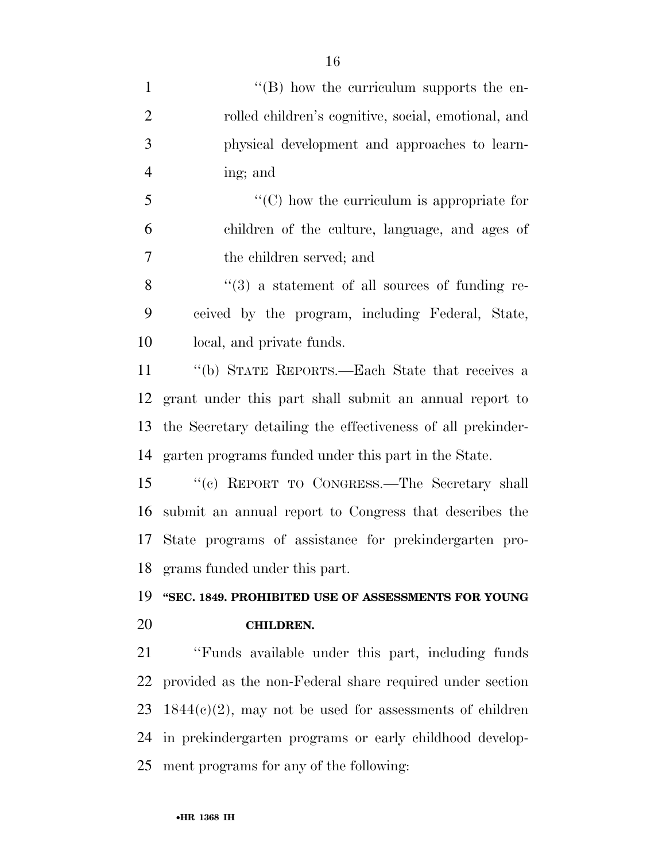| $\mathbf{1}$   | $\lq\lq (B)$ how the curriculum supports the en-            |
|----------------|-------------------------------------------------------------|
| $\overline{2}$ | rolled children's cognitive, social, emotional, and         |
| 3              | physical development and approaches to learn-               |
| $\overline{4}$ | ing; and                                                    |
| 5              | $\lq\lq$ (C) how the curriculum is appropriate for          |
| 6              | children of the culture, language, and ages of              |
| 7              | the children served; and                                    |
| 8              | $\lq(3)$ a statement of all sources of funding re-          |
| 9              | ceived by the program, including Federal, State,            |
| 10             | local, and private funds.                                   |
| 11             | "(b) STATE REPORTS.—Each State that receives a              |
| 12             | grant under this part shall submit an annual report to      |
| 13             | the Secretary detailing the effectiveness of all prekinder- |
| 14             | garten programs funded under this part in the State.        |
| 15             | "(c) REPORT TO CONGRESS.—The Secretary shall                |
| 16             | submit an annual report to Congress that describes the      |
| 17             | State programs of assistance for prekindergarten pro-       |
| 18             | grams funded under this part.                               |
| 19             | "SEC. 1849. PROHIBITED USE OF ASSESSMENTS FOR YOUNG         |
| 20             | <b>CHILDREN.</b>                                            |
| 21             | "Funds available under this part, including funds           |
| 22             | provided as the non-Federal share required under section    |
| 23             | $1844(c)(2)$ , may not be used for assessments of children  |
| 24             | in prekindergarten programs or early childhood develop-     |
| 25             | ment programs for any of the following:                     |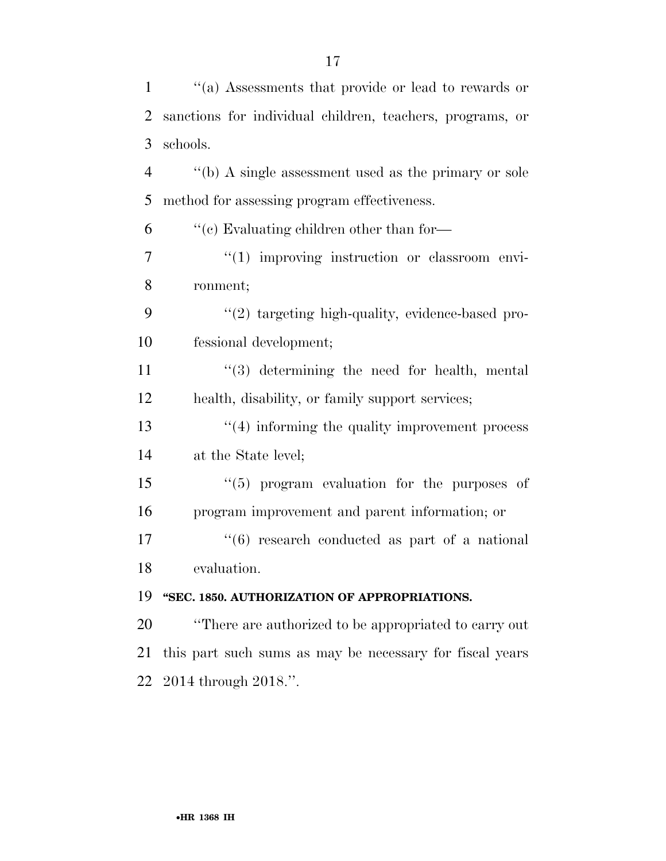| $\mathbf{1}$   | "(a) Assessments that provide or lead to rewards or       |
|----------------|-----------------------------------------------------------|
| 2              | sanctions for individual children, teachers, programs, or |
| 3              | schools.                                                  |
| $\overline{4}$ | "(b) A single assessment used as the primary or sole      |
| 5              | method for assessing program effectiveness.               |
| 6              | $\cdot$ (c) Evaluating children other than for—           |
| 7              | $\lq(1)$ improving instruction or classroom envi-         |
| 8              | ronment;                                                  |
| 9              | "(2) targeting high-quality, evidence-based pro-          |
| 10             | fessional development;                                    |
| 11             | "(3) determining the need for health, mental              |
| 12             | health, disability, or family support services;           |
| 13             | $"(4)$ informing the quality improvement process          |
| 14             | at the State level;                                       |
| 15             | "(5) program evaluation for the purposes of               |
| 16             | program improvement and parent information; or            |
| 17             | $(6)$ research conducted as part of a national            |
| 18             | evaluation.                                               |
| 19             | "SEC. 1850. AUTHORIZATION OF APPROPRIATIONS.              |
| 20             | "There are authorized to be appropriated to carry out     |
| 21             | this part such sums as may be necessary for fiscal years  |
| 22             | 2014 through 2018.".                                      |